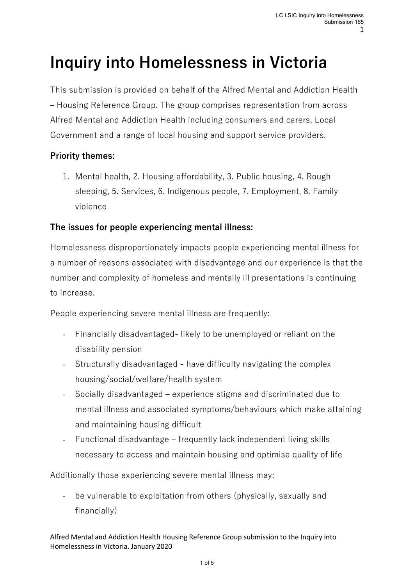# **Inquiry into Homelessness in Victoria**

This submission is provided on behalf of the Alfred Mental and Addiction Health – Housing Reference Group. The group comprises representation from across Alfred Mental and Addiction Health including consumers and carers, Local Government and a range of local housing and support service providers.

## **Priority themes:**

1. Mental health, 2. Housing affordability, 3. Public housing, 4. Rough sleeping, 5. Services, 6. Indigenous people, 7. Employment, 8. Family violence

# **The issues for people experiencing mental illness:**

Homelessness disproportionately impacts people experiencing mental illness for a number of reasons associated with disadvantage and our experience is that the number and complexity of homeless and mentally ill presentations is continuing to increase.

People experiencing severe mental illness are frequently:

- Financially disadvantaged- likely to be unemployed or reliant on the disability pension
- Structurally disadvantaged have difficulty navigating the complex housing/social/welfare/health system
- Socially disadvantaged experience stigma and discriminated due to mental illness and associated symptoms/behaviours which make attaining and maintaining housing difficult
- Functional disadvantage frequently lack independent living skills necessary to access and maintain housing and optimise quality of life

Additionally those experiencing severe mental illness may:

- be vulnerable to exploitation from others (physically, sexually and financially)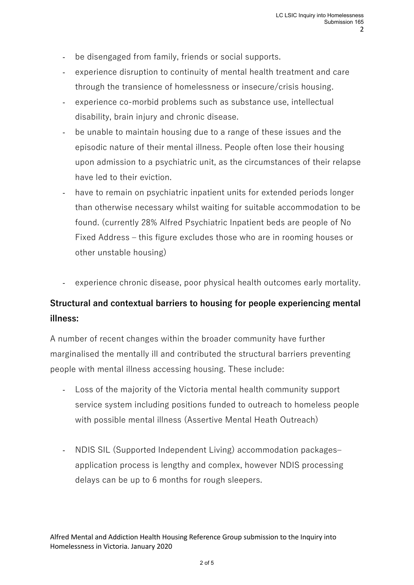- be disengaged from family, friends or social supports.
- experience disruption to continuity of mental health treatment and care through the transience of homelessness or insecure/crisis housing.
- experience co-morbid problems such as substance use, intellectual disability, brain injury and chronic disease.
- be unable to maintain housing due to a range of these issues and the episodic nature of their mental illness. People often lose their housing upon admission to a psychiatric unit, as the circumstances of their relapse have led to their eviction.
- have to remain on psychiatric inpatient units for extended periods longer than otherwise necessary whilst waiting for suitable accommodation to be found. (currently 28% Alfred Psychiatric Inpatient beds are people of No Fixed Address – this figure excludes those who are in rooming houses or other unstable housing)
- experience chronic disease, poor physical health outcomes early mortality.

# **Structural and contextual barriers to housing for people experiencing mental illness:**

A number of recent changes within the broader community have further marginalised the mentally ill and contributed the structural barriers preventing people with mental illness accessing housing. These include:

- Loss of the majority of the Victoria mental health community support service system including positions funded to outreach to homeless people with possible mental illness (Assertive Mental Heath Outreach)
- NDIS SIL (Supported Independent Living) accommodation packages– application process is lengthy and complex, however NDIS processing delays can be up to 6 months for rough sleepers.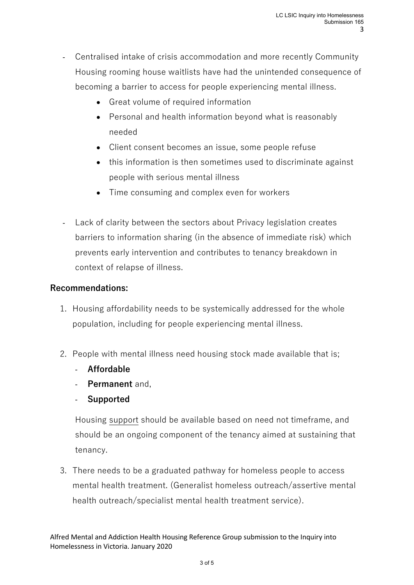- Centralised intake of crisis accommodation and more recently Community Housing rooming house waitlists have had the unintended consequence of becoming a barrier to access for people experiencing mental illness.
	- Great volume of required information
	- Personal and health information beyond what is reasonably needed
	- Client consent becomes an issue, some people refuse
	- this information is then sometimes used to discriminate against people with serious mental illness
	- Time consuming and complex even for workers
- Lack of clarity between the sectors about Privacy legislation creates barriers to information sharing (in the absence of immediate risk) which prevents early intervention and contributes to tenancy breakdown in context of relapse of illness.

#### **Recommendations:**

- 1. Housing affordability needs to be systemically addressed for the whole population, including for people experiencing mental illness.
- 2. People with mental illness need housing stock made available that is;
	- **Affordable**
	- **Permanent** and,
	- **Supported**

Housing support should be available based on need not timeframe, and should be an ongoing component of the tenancy aimed at sustaining that tenancy.

3. There needs to be a graduated pathway for homeless people to access mental health treatment. (Generalist homeless outreach/assertive mental health outreach/specialist mental health treatment service).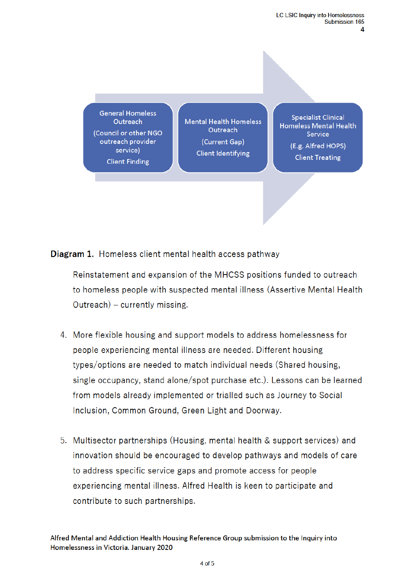**General Homeless** Outreach (Council or other NGO outreach provider service) **Client Finding** 

**Mental Health Homeless** Outreach (Current Gap) **Client Identifying** 

**Specialist Clinical** Homeless Mental Health Service (E.g. Alfred HOPS) **Client Treating** 

Diagram 1. Homeless client mental health access pathway

Reinstatement and expansion of the MHCSS positions funded to outreach to homeless people with suspected mental illness (Assertive Mental Health Outreach) – currently missing.

- 4. More flexible housing and support models to address homelessness for people experiencing mental illness are needed. Different housing types/options are needed to match individual needs (Shared housing, single occupancy, stand alone/spot purchase etc.). Lessons can be learned from models already implemented or trialled such as Journey to Social Inclusion, Common Ground, Green Light and Doorway.
- 5. Multisector partnerships (Housing, mental health & support services) and innovation should be encouraged to develop pathways and models of care to address specific service gaps and promote access for people experiencing mental illness. Alfred Health is keen to participate and contribute to such partnerships.